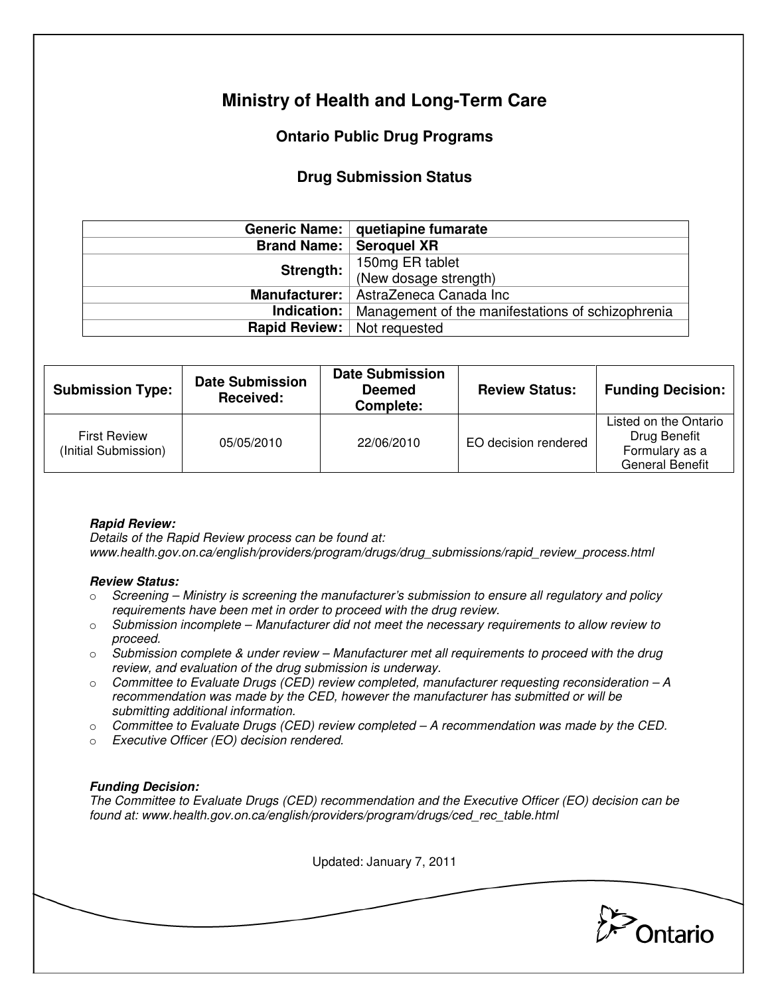# **Ministry of Health and Long-Term Care**

## **Ontario Public Drug Programs**

## **Drug Submission Status**

|                                      | Generic Name:   quetiapine fumarate               |  |  |
|--------------------------------------|---------------------------------------------------|--|--|
|                                      | <b>Brand Name:   Seroquel XR</b>                  |  |  |
| Strength:                            | 150mg ER tablet                                   |  |  |
|                                      | (New dosage strength)                             |  |  |
|                                      | Manufacturer:   AstraZeneca Canada Inc            |  |  |
| Indication: $ $                      | Management of the manifestations of schizophrenia |  |  |
| <b>Rapid Review:</b>   Not requested |                                                   |  |  |

| <b>Submission Type:</b>                     | <b>Date Submission</b><br>Received: | <b>Date Submission</b><br><b>Deemed</b><br>Complete: | <b>Review Status:</b> | <b>Funding Decision:</b>                                                          |
|---------------------------------------------|-------------------------------------|------------------------------------------------------|-----------------------|-----------------------------------------------------------------------------------|
| <b>First Review</b><br>(Initial Submission) | 05/05/2010                          | 22/06/2010                                           | EO decision rendered  | Listed on the Ontario<br>Drug Benefit<br>Formulary as a<br><b>General Benefit</b> |

### **Rapid Review:**

Details of the Rapid Review process can be found at: www.health.gov.on.ca/english/providers/program/drugs/drug\_submissions/rapid\_review\_process.html

#### **Review Status:**

- $\circ$  Screening Ministry is screening the manufacturer's submission to ensure all regulatory and policy requirements have been met in order to proceed with the drug review.
- $\circ$  Submission incomplete Manufacturer did not meet the necessary requirements to allow review to proceed.
- $\circ$  Submission complete & under review Manufacturer met all requirements to proceed with the drug review, and evaluation of the drug submission is underway.
- $\circ$  Committee to Evaluate Drugs (CED) review completed, manufacturer requesting reconsideration  $-A$ recommendation was made by the CED, however the manufacturer has submitted or will be submitting additional information.
- $\circ$  Committee to Evaluate Drugs (CED) review completed A recommendation was made by the CED.
- o Executive Officer (EO) decision rendered.

### **Funding Decision:**

The Committee to Evaluate Drugs (CED) recommendation and the Executive Officer (EO) decision can be found at: www.health.gov.on.ca/english/providers/program/drugs/ced\_rec\_table.html

Updated: January 7, 2011